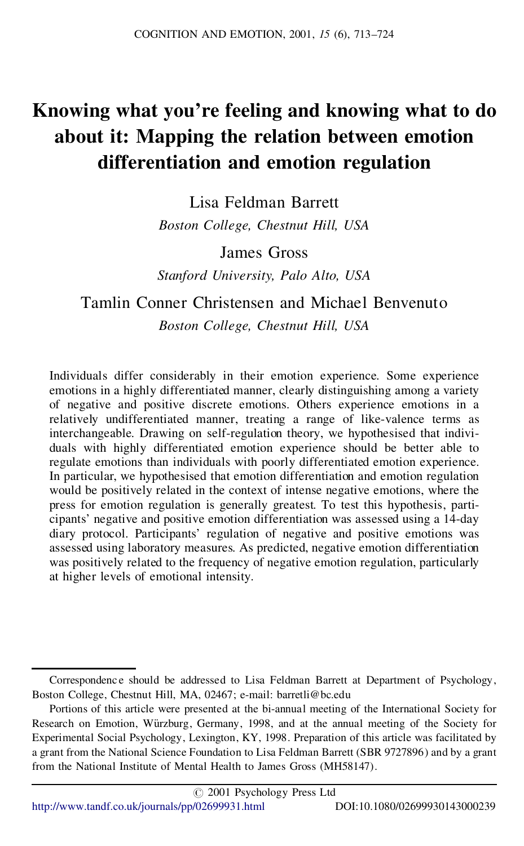# **Knowing what you're feeling and knowing what to do about it: Mapping the relation between emotion differentiation and emotion regulation**

Lisa Feldman Barrett *Boston College, Chestnut Hill, USA*

James Gross

*Stanford University, Palo Alto, USA*

## Tamlin Conner Christensen and Michael Benvenuto *Boston College, Chestnut Hill, USA*

Individuals differ considerably in their emotion experience. Some experience emotions in a highly differentiated manner, clearly distinguishing among a variety of negative and positive discrete emotions. Others experience emotions in a relatively undifferentiated manner, treating a range of like-valence terms as interchangeable. Drawing on self-regulation theory, we hypothesised that indivi duals with highly differentiated emotion experience should be better able to regulate emotions than individuals with poorly differentiated emotion experience. In particular, we hypothesised that emotion differentiation and emotion regulation would be positively related in the context of intense negative emotions, where the press for emotion regulation is generally greatest. To test this hypothesis, parti cipants' negative and positive emotion differentiation was assessed using a 14-day diary protocol. Participants' regulation of negative and positive emotions was assessed using laboratory measures. As predicted, negative emotion differentiation was positively related to the frequency of negative emotion regulation, particularly at higher levels of emotional intensity.

Correspondence should be addressed to Lisa Feldman Barrett at Department of Psychology, Boston College, Chestnut Hill, MA, 02467; e-mail: barretli@bc.edu

Portions of this article were presented at the bi-annual meeting of the International Society for Research on Emotion, Würzburg, Germany, 1998, and at the annual meeting of the Society for Experimental Social Psychology, Lexington, KY, 1998. Preparation of this article was facilitated by a grant from the National Science Foundation to Lisa Feldman Barrett (SBR 9727896) and by a grant from the National Institute of Mental Health to James Gross (MH58147).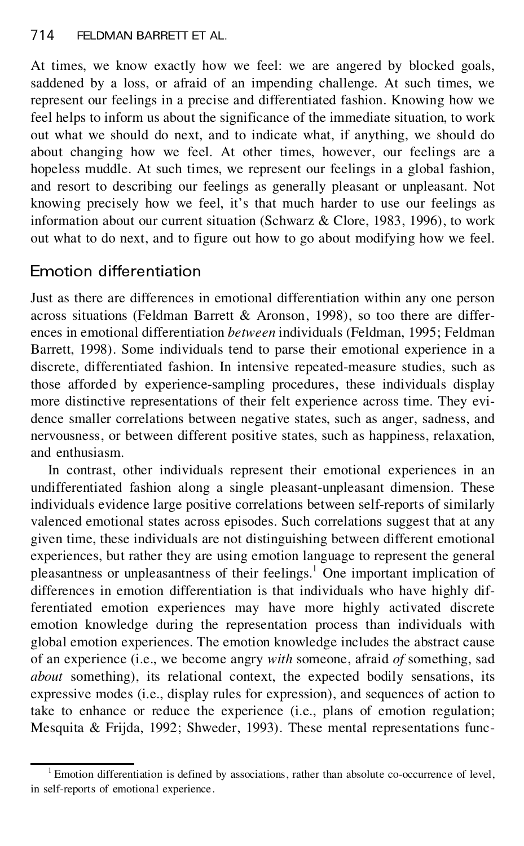At times, we know exactly how we feel: we are angered by blocked goals, saddened by a loss, or afraid of an impending challenge. At such times, we represent our feelings in a precise and differentiated fashion. Knowing how we feel helps to inform us about the significance of the immediate situation, to work out what we should do next, and to indicate what, if anything, we should do about changing how we feel. At other times, however, our feelings are a hopeless muddle. At such times, we represent our feelings in a global fashion, and resort to describing our feelings as generally pleasant or unpleasant. Not knowing precisely how we feel, it's that much harder to use our feelings as information about our current situation (Schwarz & Clore, 1983, 1996), to work out what to do next, and to figure out how to go about modifying how we feel.

# Emotion differentiation

Just as there are differences in emotional differentiation within any one person across situations (Feldman Barrett & Aronson, 1998), so too there are differ ences in emotional differentiation *between* individuals (Feldman, 1995; Feldman Barrett, 1998). Some individuals tend to parse their emotional experience in a discrete, differentiated fashion. In intensive repeated-measure studies, such as those afforded by experience-sampling procedures, these individuals display more distinctive representations of their felt experience across time. They evi dence smaller correlations between negative states, such as anger, sadness, and nervousness, or between different positive states, such as happiness, relaxation, and enthusiasm.

In contrast, other individuals represent their emotional experiences in an undifferentiated fashion along a single pleasant-unpleasant dimension. These individuals evidence large positive correlations between self-reports of similarly valenced emotional states across episodes. Such correlations suggest that at any given time, these individuals are not distinguishing between different emotional experiences, but rather they are using emotion language to represent the general pleasantness or unpleasantness of their feelings.<sup>1</sup> One important implication of differences in emotion differentiation is that individuals who have highly differentiated emotion experiences may have more highly activated discrete emotion knowledge during the representation process than individuals with global emotion experiences. The emotion knowledge includes the abstract cause of an experience (i.e., we become angry *with* someone, afraid *of* something, sad *about* something), its relational context, the expected bodily sensations, its expressive modes (i.e., display rules for expression), and sequences of action to take to enhance or reduce the experience (i.e., plans of emotion regulation; Mesquita & Frijda, 1992; Shweder, 1993). These mental representations func-

 $1$  Emotion differentiation is defined by associations, rather than absolute co-occurrence of level, in self-reports of emotional experience.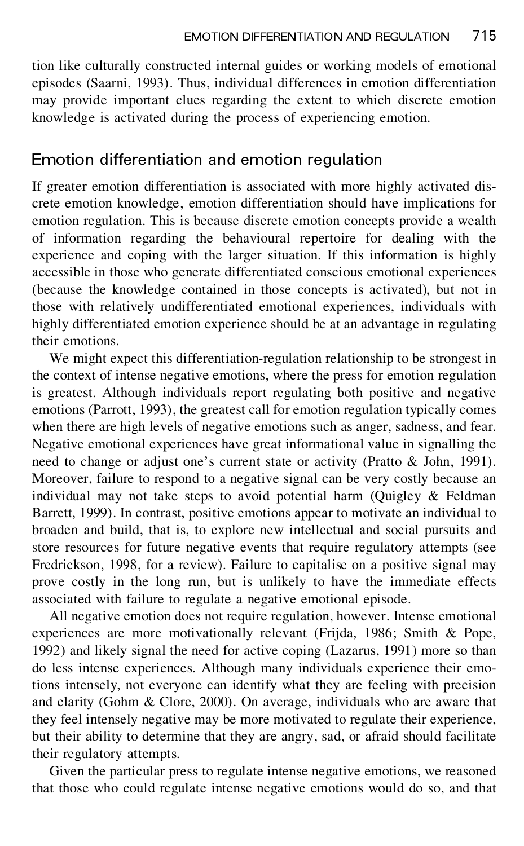tion like culturally constructed internal guides or working models of emotional episodes (Saarni, 1993). Thus, individual differences in emotion differentiation may provide important clues regarding the extent to which discrete emotion knowledge is activated during the process of experiencing emotion.

### Emotion differentiation and emotion regulation

If greater emotion differentiation is associated with more highly activated dis crete emotion knowledge, emotion differentiation should have implications for emotion regulation. This is because discrete emotion concepts provide a wealth of information regarding the behavioural repertoire for dealing with the experience and coping with the larger situation. If this information is highly accessible in those who generate differentiated conscious emotional experiences (because the knowledge contained in those concepts is activated), but not in those with relatively undifferentiated emotional experiences, individuals with highly differentiated emotion experience should be at an advantage in regulating their emotions.

We might expect this differentiation-regulation relationship to be strongest in the context of intense negative emotions, where the press for emotion regulation is greatest. Although individuals report regulating both positive and negative emotions (Parrott, 1993), the greatest call for emotion regulation typically comes when there are high levels of negative emotions such as anger, sadness, and fear. Negative emotional experiences have great informational value in signalling the need to change or adjust one's current state or activity (Pratto & John, 1991). Moreover, failure to respond to a negative signal can be very costly because an individual may not take steps to avoid potential harm (Quigley & Feldman Barrett, 1999). In contrast, positive emotions appear to motivate an individual to broaden and build, that is, to explore new intellectual and social pursuits and store resources for future negative events that require regulatory attempts (see Fredrickson, 1998, for a review). Failure to capitalise on a positive signal may prove costly in the long run, but is unlikely to have the immediate effects associated with failure to regulate a negative emotional episode.

All negative emotion does not require regulation, however. Intense emotional experiences are more motivationally relevant (Frijda, 1986; Smith & Pope, 1992) and likely signal the need for active coping (Lazarus, 1991) more so than do less intense experiences. Although many individuals experience their emotions intensely, not everyone can identify what they are feeling with precision and clarity (Gohm & Clore, 2000). On average, individuals who are aware that they feel intensely negative may be more motivated to regulate their experience, but their ability to determine that they are angry, sad, or afraid should facilitate their regulatory attempts.

Given the particular press to regulate intense negative emotions, we reasoned that those who could regulate intense negative emotions would do so, and that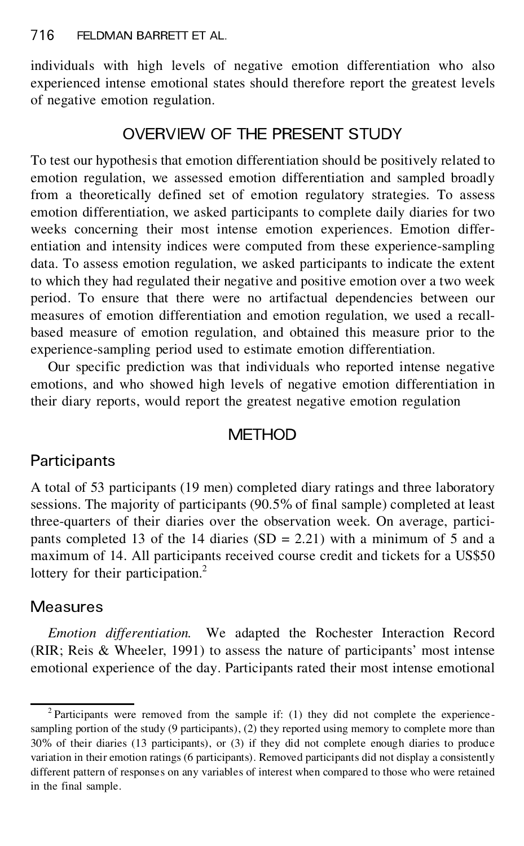individuals with high levels of negative emotion differentiation who also experienced intense emotional states should therefore report the greatest levels of negative emotion regulation.

### OVERVIEW OF THE PRESENT STUDY

To test our hypothesis that emotion differentiation should be positively related to emotion regulation, we assessed emotion differentiation and sampled broadly from a theoretically defined set of emotion regulatory strategies. To assess emotion differentiation, we asked participants to complete daily diaries for two weeks concerning their most intense emotion experiences. Emotion differ entiation and intensity indices were computed from these experience-sampling data. To assess emotion regulation, we asked participants to indicate the extent to which they had regulated their negative and positive emotion over a two week period. To ensure that there were no artifactual dependencies between our measures of emotion differentiation and emotion regulation, we used a recall based measure of emotion regulation, and obtained this measure prior to the experience-sampling period used to estimate emotion differentiation.

Our specific prediction was that individuals who reported intense negative emotions, and who showed high levels of negative emotion differentiation in their diary reports, would report the greatest negative emotion regulation

### **METHOD**

## **Participants**

A total of 53 participants (19 men) completed diary ratings and three laboratory sessions. The majority of participants (90.5%of final sample) completed at least three-quarters of their diaries over the observation week. On average, partici pants completed 13 of the 14 diaries  $(SD = 2.21)$  with a minimum of 5 and a maximum of 14. All participants received course credit and tickets for a US\$50 lottery for their participation.<sup>2</sup>

### Measures

*Emotion differentiation.* We adapted the Rochester Interaction Record (RIR; Reis & Wheeler, 1991) to assess the nature of participants' most intense emotional experience of the day. Participants rated their most intense emotional

<sup>&</sup>lt;sup>2</sup> Participants were removed from the sample if: (1) they did not complete the experiencesampling portion of the study (9 participants), (2) they reported using memory to complete more than 30% of their diaries (13 participants), or (3) if they did not complete enough diaries to produce variation in their emotion ratings (6 participants). Removed participants did not display a consistently different pattern of responses on any variables of interest when compared to those who were retained in the final sample.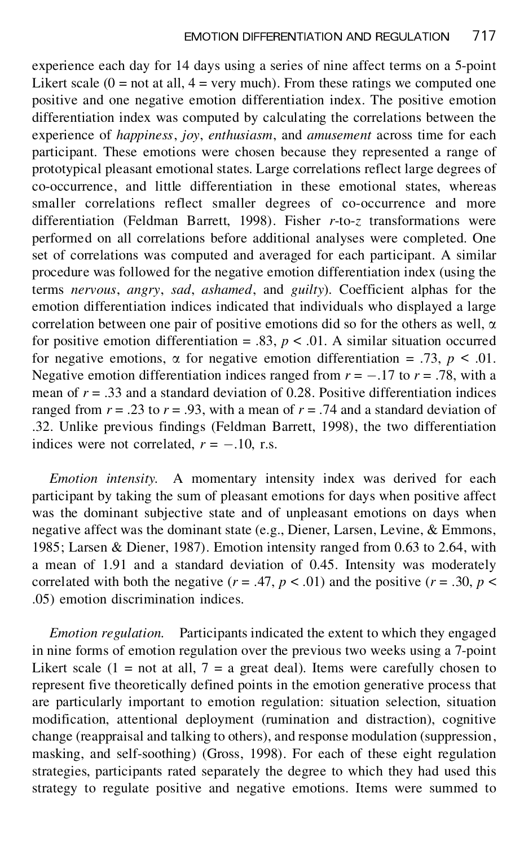experience each day for 14 days using a series of nine affect terms on a 5-point Likert scale  $(0 = not at all, 4 = very much)$ . From these ratings we computed one positive and one negative emotion differentiation index. The positive emotion differentiation index was computed by calculating the correlations between the experience of *happiness*, *joy*, *enthusiasm*, and *amusement* across time for each participant. These emotions were chosen because they represented a range of prototypical pleasant emotional states. Large correlations reflect large degrees of co-occurrence, and little differentiation in these emotional states, whereas smaller correlations reflect smaller degrees of co-occurrence and more differentiation (Feldman Barrett, 1998). Fisher *r*-to-*z* transformations were performed on all correlations before additional analyses were completed. One set of correlations was computed and averaged for each participant. A similar procedure was followed for the negative emotion differentiation index (using the terms *nervous*, *angry*, *sad*, *ashamed*, and *guilty*). Coefficient alphas for the emotion differentiation indices indicated that individuals who displayed a large correlation between one pair of positive emotions did so for the others as well,  $\alpha$ for positive emotion differentiation = .83,  $p < .01$ . A similar situation occurred for negative emotions,  $\alpha$  for negative emotion differentiation = .73,  $p \le 0.01$ . Negative emotion differentiation indices ranged from  $r = -.17$  to  $r = .78$ , with a mean of  $r = .33$  and a standard deviation of 0.28. Positive differentiation indices ranged from  $r = .23$  to  $r = .93$ , with a mean of  $r = .74$  and a standard deviation of .32. Unlike previous findings (Feldman Barrett, 1998), the two differentiation indices were not correlated,  $r = -.10$ , r.s.

*Emotion intensity.* A momentary intensity index was derived for each participant by taking the sum of pleasant emotions for days when positive affect was the dominant subjective state and of unpleasant emotions on days when negative affect was the dominant state (e.g., Diener, Larsen, Levine, & Emmons, 1985; Larsen & Diener, 1987). Emotion intensity ranged from 0.63 to 2.64, with a mean of 1.91 and a standard deviation of 0.45. Intensity was moderately correlated with both the negative  $(r = .47, p < .01)$  and the positive  $(r = .30, p <$ .05) emotion discrimination indices.

*Emotion regulation.* Participants indicated the extent to which they engaged in nine forms of emotion regulation over the previous two weeks using a 7-point Likert scale (1 = not at all, 7 = a great deal). Items were carefully chosen to represent five theoretically defined points in the emotion generative process that are particularly important to emotion regulation: situation selection, situation modification, attentional deployment (rumination and distraction), cognitive change (reappraisal and talking to others), and response modulation (suppression, masking, and self-soothing) (Gross, 1998). For each of these eight regulation strategies, participants rated separately the degree to which they had used this strategy to regulate positive and negative emotions. Items were summed to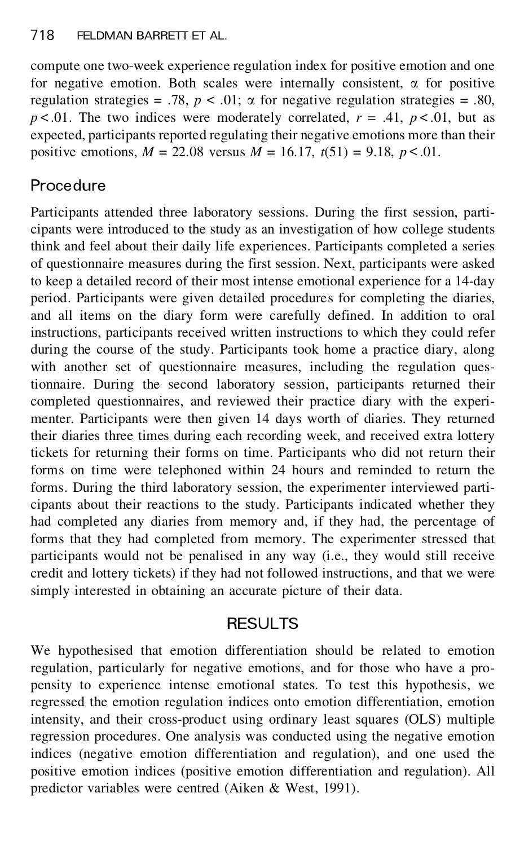compute one two-week experience regulation index for positive emotion and one for negative emotion. Both scales were internally consistent,  $\alpha$  for positive regulation strategies = .78,  $p < .01$ ;  $\alpha$  for negative regulation strategies = .80,  $p < .01$ . The two indices were moderately correlated,  $r = .41$ ,  $p < .01$ , but as expected, participants reported regulating their negative emotions more than their positive emotions,  $M = 22.08$  versus  $M = 16.17$ ,  $t(51) = 9.18$ ,  $p < .01$ .

# **Procedure**

Participants attended three laboratory sessions. During the first session, parti cipants were introduced to the study as an investigation of how college students think and feel about their daily life experiences. Participants completed a series of questionnaire measures during the first session. Next, participants were asked to keep a detailed record of their most intense emotional experience for a 14-day period. Participants were given detailed procedures for completing the diaries, and all items on the diary form were carefully defined. In addition to oral instructions, participants received written instructions to which they could refer during the course of the study. Participants took home a practice diary, along with another set of questionnaire measures, including the regulation questionnaire. During the second laboratory session, participants returned their completed questionnaires, and reviewed their practice diary with the experi menter. Participants were then given 14 days worth of diaries. They returned their diaries three times during each recording week, and received extra lottery tickets for returning their forms on time. Participants who did not return their forms on time were telephoned within 24 hours and reminded to return the forms. During the third laboratory session, the experimenter interviewed parti cipants about their reactions to the study. Participants indicated whether they had completed any diaries from memory and, if they had, the percentage of forms that they had completed from memory. The experimenter stressed that participants would not be penalised in any way (i.e., they would still receive credit and lottery tickets) if they had not followed instructions, and that we were simply interested in obtaining an accurate picture of their data.

### **RESULTS**

We hypothesised that emotion differentiation should be related to emotion regulation, particularly for negative emotions, and for those who have a pro pensity to experience intense emotional states. To test this hypothesis, we regressed the emotion regulation indices onto emotion differentiation, emotion intensity, and their cross-product using ordinary least squares (OLS) multiple regression procedures. One analysis was conducted using the negative emotion indices (negative emotion differentiation and regulation), and one used the positive emotion indices (positive emotion differentiation and regulation). All predictor variables were centred (Aiken & West, 1991).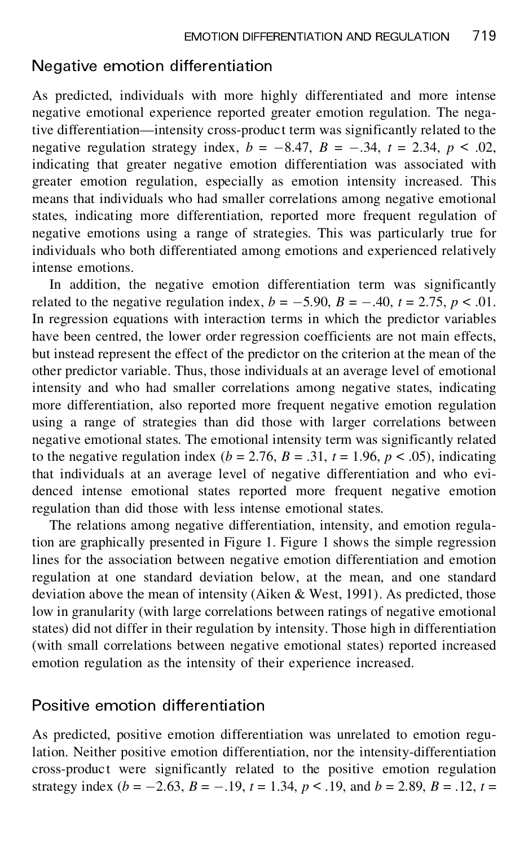#### Negative emotion differentiation

As predicted, individuals with more highly differentiated and more intense negative emotional experience reported greater emotion regulation. The negative differentiation—intensity cross-product term was significantly related to the negative regulation strategy index,  $b = -8.47$ ,  $B = -0.34$ ,  $t = 2.34$ ,  $p < 0.02$ , indicating that greater negative emotion differentiation was associated with greater emotion regulation, especially as emotion intensity increased. This means that individuals who had smaller correlations among negative emotional states, indicating more differentiation, reported more frequent regulation of negative emotions using a range of strategies. This was particularly true for individuals who both differentiated among emotions and experienced relatively intense emotions.

In addition, the negative emotion differentiation term was significantly related to the negative regulation index,  $b = -5.90$ ,  $B = -.40$ ,  $t = 2.75$ ,  $p < .01$ . In regression equations with interaction terms in which the predictor variables have been centred, the lower order regression coefficients are not main effects, but instead represent the effect of the predictor on the criterion at the mean of the other predictor variable. Thus, those individuals at an average level of emotional intensity and who had smaller correlations among negative states, indicating more differentiation, also reported more frequent negative emotion regulation using a range of strategies than did those with larger correlations between negative emotional states. The emotional intensity term was significantly related to the negative regulation index ( $b = 2.76$ ,  $B = .31$ ,  $t = 1.96$ ,  $p < .05$ ), indicating that individuals at an average level of negative differentiation and who evi denced intense emotional states reported more frequent negative emotion regulation than did those with less intense emotional states.

The relations among negative differentiation, intensity, and emotion regulation are graphically presented in Figure 1. Figure 1 shows the simple regression lines for the association between negative emotion differentiation and emotion regulation at one standard deviation below, at the mean, and one standard deviation above the mean of intensity (Aiken & West, 1991). As predicted, those low in granularity (with large correlations between ratings of negative emotional states) did not differ in their regulation by intensity. Those high in differentiation (with small correlations between negative emotional states) reported increased emotion regulation as the intensity of their experience increased.

#### Positive emotion differentiation

As predicted, positive emotion differentiation was unrelated to emotion regulation. Neither positive emotion differentiation, nor the intensity-differentiation cross-product were significantly related to the positive emotion regulation strategy index ( $b = -2.63$ ,  $B = -.19$ ,  $t = 1.34$ ,  $p < .19$ , and  $b = 2.89$ ,  $B = .12$ ,  $t =$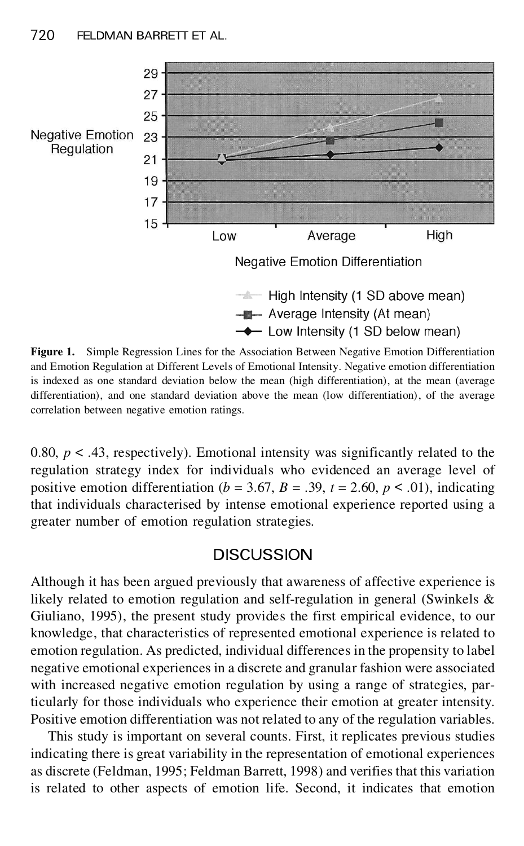

**Figure 1.** Simple Regression Lines for the Association Between Negative Emotion Differentiation and Emotion Regulation at Different Levels of Emotional Intensity. Negative emotion differentiation is indexed as one standard deviation below the mean (high differentiation), at the mean (average differentiation), and one standard deviation above the mean (low differentiation), of the average correlation between negative emotion ratings.

0.80,  $p < .43$ , respectively). Emotional intensity was significantly related to the regulation strategy index for individuals who evidenced an average level of positive emotion differentiation ( $b = 3.67$ ,  $B = .39$ ,  $t = 2.60$ ,  $p < .01$ ), indicating that individuals characterised by intense emotional experience reported using a greater number of emotion regulation strategies.

#### DISCUSSION

Although it has been argued previously that awareness of affective experience is likely related to emotion regulation and self-regulation in general (Swinkels & Giuliano, 1995), the present study provides the first empirical evidence, to our knowledge, that characteristics of represented emotional experience is related to emotion regulation. As predicted, individual differences in the propensity to label negative emotional experiences in a discrete and granular fashion were associated with increased negative emotion regulation by using a range of strategies, particularly for those individuals who experience their emotion at greater intensity. Positive emotion differentiation was not related to any of the regulation variables.

This study is important on several counts. First, it replicates previous studies indicating there is great variability in the representation of emotional experiences as discrete (Feldman, 1995; Feldman Barrett, 1998) and verifies that this variation is related to other aspects of emotion life. Second, it indicates that emotion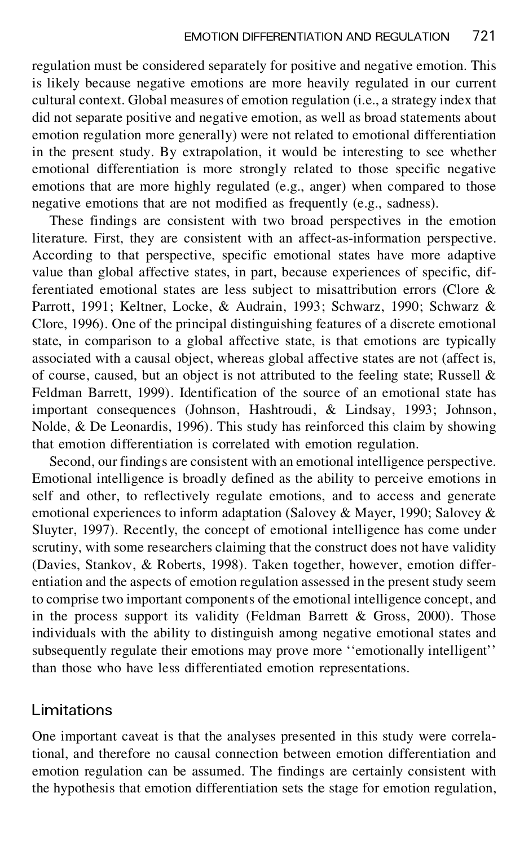regulation must be considered separately for positive and negative emotion. This is likely because negative emotions are more heavily regulated in our current cultural context. Global measures of emotion regulation (i.e., a strategy index that did not separate positive and negative emotion, as well as broad statements about emotion regulation more generally) were not related to emotional differentiation in the present study. By extrapolation, it would be interesting to see whether emotional differentiation is more strongly related to those specific negative emotions that are more highly regulated (e.g., anger) when compared to those negative emotions that are not modified as frequently (e.g., sadness).

These findings are consistent with two broad perspectives in the emotion literature. First, they are consistent with an affect-as-information perspective. According to that perspective, specific emotional states have more adaptive value than global affective states, in part, because experiences of specific, differentiated emotional states are less subject to misattribution errors (Clore & Parrott, 1991; Keltner, Locke, & Audrain, 1993; Schwarz, 1990; Schwarz & Clore, 1996). One of the principal distinguishing features of a discrete emotional state, in comparison to a global affective state, is that emotions are typically associated with a causal object, whereas global affective states are not (affect is, of course, caused, but an object is not attributed to the feeling state; Russell & Feldman Barrett, 1999). Identification of the source of an emotional state has important consequences (Johnson, Hashtroudi, & Lindsay, 1993; Johnson, Nolde, & De Leonardis, 1996). This study has reinforced this claim by showing that emotion differentiation is correlated with emotion regulation.

Second, our findings are consistent with an emotional intelligence perspective. Emotional intelligence is broadly defined as the ability to perceive emotions in self and other, to reflectively regulate emotions, and to access and generate emotional experiences to inform adaptation (Salovey & Mayer, 1990; Salovey & Sluyter, 1997). Recently, the concept of emotional intelligence has come under scrutiny, with some researchers claiming that the construct does not have validity (Davies, Stankov, & Roberts, 1998). Taken together, however, emotion differ entiation and the aspects of emotion regulation assessed in the present study seem to comprise two important components of the emotional intelligence concept, and in the process support its validity (Feldman Barrett  $\&$  Gross, 2000). Those individuals with the ability to distinguish among negative emotional states and subsequently regulate their emotions may prove more ''emotionally intelligent'' than those who have less differentiated emotion representations.

### Limitations

One important caveat is that the analyses presented in this study were correlational, and therefore no causal connection between emotion differentiation and emotion regulation can be assumed. The findings are certainly consistent with the hypothesis that emotion differentiation sets the stage for emotion regulation,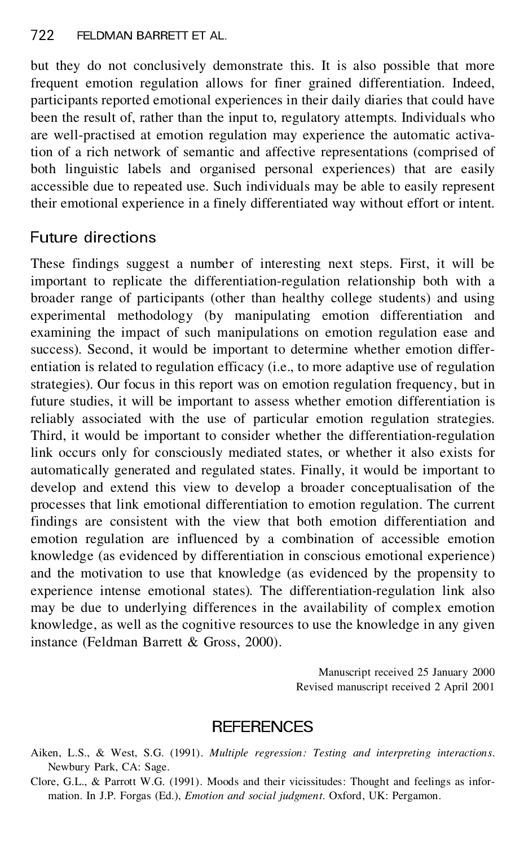but they do not conclusively demonstrate this. It is also possible that more frequent emotion regulation allows for finer grained differentiation. Indeed, participants reported emotional experiences in their daily diaries that could have been the result of, rather than the input to, regulatory attempts. Individuals who are well-practised at emotion regulation may experience the automatic activation of a rich network of semantic and affective representations (comprised of both linguistic labels and organised personal experiences) that are easily accessible due to repeated use. Such individuals may be able to easily represent their emotional experience in a finely differentiated way without effort or intent.

### Future directions

These findings suggest a number of interesting next steps. First, it will be important to replicate the differentiation-regulation relationship both with a broader range of participants (other than healthy college students) and using experimental methodology (by manipulating emotion differentiation and examining the impact of such manipulations on emotion regulation ease and success). Second, it would be important to determine whether emotion differ entiation is related to regulation efficacy (i.e., to more adaptive use of regulation strategies). Our focus in this report was on emotion regulation frequency, but in future studies, it will be important to assess whether emotion differentiation is reliably associated with the use of particular emotion regulation strategies. Third, it would be important to consider whether the differentiation-regulation link occurs only for consciously mediated states, or whether it also exists for automatically generated and regulated states. Finally, it would be important to develop and extend this view to develop a broader conceptualisation of the processes that link emotional differentiation to emotion regulation. The current findings are consistent with the view that both emotion differentiation and emotion regulation are influenced by a combination of accessible emotion knowledge (as evidenced by differentiation in conscious emotional experience) and the motivation to use that knowledge (as evidenced by the propensity to experience intense emotional states). The differentiation-regulation link also may be due to underlying differences in the availability of complex emotion knowledge, as well as the cognitive resources to use the knowledge in any given instance (Feldman Barrett & Gross, 2000).

> Manuscript received 25 January 2000 Revised manuscript received 2 April 2001

### **REFERENCES**

Aiken, L.S., & West, S.G. (1991). *Multiple regression: Testing and interpreting interactions*. Newbury Park, CA: Sage.

Clore, G.L., & Parrott W.G. (1991). Moods and their vicissitudes: Thought and feelings as infor mation. In J.P. Forgas (Ed.), *Emotion and social judgment*. Oxford, UK: Pergamon.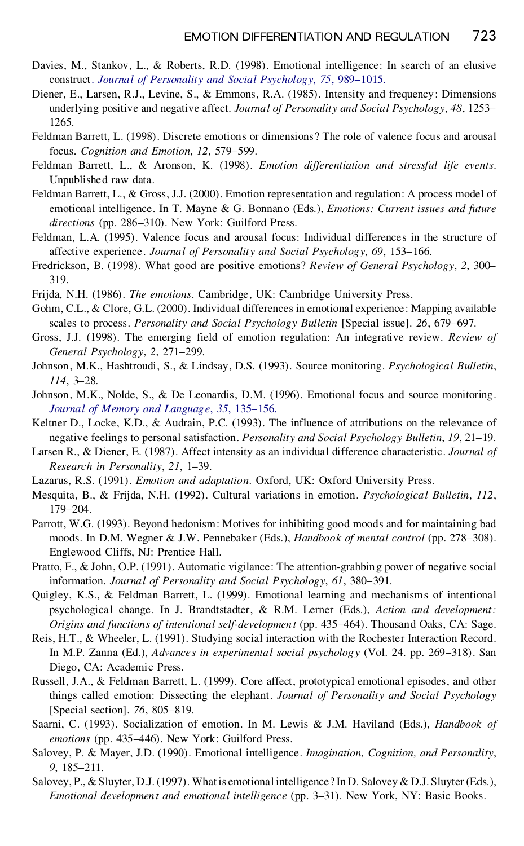- Davies, M., Stankov, L., & Roberts, R.D. (1998). Emotional intelligence: In search of an elusive construct. *Journal of [Personality](http://lucia.catchword.com/nw=1/rpsv/0022-3514^28^2975L.989[aid=1151712]) and Social Psychology*, *75*, 989–1015.
- Diener, E., Larsen, R.J., Levine, S., & Emmons, R.A. (1985). Intensity and frequency: Dimensions underlying positive and negative affect. *Journal of Personality and Social Psychology*, *48*, 1253– 1265.
- Feldman Barrett, L. (1998). Discrete emotions or dimensions? The role of valence focus and arousal focus. *Cognition and Emotion*, *12*, 579–599.
- Feldman Barrett, L., & Aronson, K. (1998). *Emotion differentiation and stressful life events*. Unpublished raw data.
- Feldman Barrett, L., & Gross, J.J. (2000). Emotion representation and regulation: A process model of emotional intelligence. In T. Mayne & G. Bonnano (Eds.), *Emotions: Current issues and future directions* (pp. 286–310). New York: Guilford Press.
- Feldman, L.A. (1995). Valence focus and arousal focus: Individual differences in the structure of affective experience. *Journal of Personality and Social Psychology*, *69*, 153–166.
- Fredrickson, B. (1998). What good are positive emotions? *Review of General Psychology*, *2*, 300– 319.
- Frijda, N.H. (1986). *The emotions*. Cambridge, UK: Cambridge University Press.
- Gohm, C.L., & Clore, G.L. (2000). Individual differences in emotional experience: Mapping available scales to process. *Personality and Social Psychology Bulletin* [Special issue]. *26*, 679–697.
- Gross, J.J. (1998). The emerging field of emotion regulation: An integrative review. *Review of General Psychology*, *2*, 271–299.
- Johnson, M.K., Hashtroudi, S., & Lindsay, D.S. (1993). Source monitoring. *Psychological Bulletin*, *114*, 3–28.
- Johnson, M.K., Nolde, S., & De Leonardis, D.M. (1996). Emotional focus and source monitoring. *Journal of Memory and [Language](http://lucia.catchword.com/nw=1/rpsv/0749-596X^28^2935L.135[aid=296764])*, *35*, 135–156.
- Keltner D., Locke, K.D., & Audrain, P.C. (1993). The influence of attributions on the relevance of negative feelings to personal satisfaction. *Personality and Social Psychology Bulletin*, *19*, 21–19.
- Larsen R., & Diener, E. (1987). Affect intensity as an individual difference characteristic. *Journal of Research in Personality*, *21*, 1–39.
- Lazarus, R.S. (1991). *Emotion and adaptation*. Oxford, UK: Oxford University Press.
- Mesquita, B., & Frijda, N.H. (1992). Cultural variations in emotion. *Psychological Bulletin*, *112*, 179–204.
- Parrott, W.G. (1993). Beyond hedonism: Motives for inhibiting good moods and for maintaining bad moods. In D.M. Wegner & J.W. Pennebaker (Eds.), *Handbook of mental control* (pp. 278–308). Englewood Cliffs, NJ: Prentice Hall.
- Pratto, F., & John, O.P. (1991). Automatic vigilance: The attention-grabbing power of negative social information. *Journal of Personality and Social Psychology*, *61*, 380–391.
- Quigley, K.S., & Feldman Barrett, L. (1999). Emotional learning and mechanisms of intentional psychological change. In J. Brandtstadter, & R.M. Lerner (Eds.), *Action and development: Origins and functions of intentional self-development* (pp. 435–464). Thousand Oaks, CA: Sage.
- Reis, H.T., & Wheeler, L. (1991). Studying social interaction with the Rochester Interaction Record. In M.P. Zanna (Ed.), *Advances in experimental social psychology* (Vol. 24. pp. 269–318). San Diego, CA: Academic Press.
- Russell, J.A., & Feldman Barrett, L. (1999). Core affect, prototypical emotional episodes, and other things called emotion: Dissecting the elephant. *Journal of Personality and Social Psychology* [Special section]. *76*, 805–819.
- Saarni, C. (1993). Socialization of emotion. In M. Lewis & J.M. Haviland (Eds.), *Handbook of emotions* (pp. 435–446). New York: Guilford Press.
- Salovey, P. & Mayer, J.D. (1990). Emotional intelligence. *Imagination, Cognition, and Personality*, *9*, 185–211.
- Salovey, P., & Sluyter, D.J. (1997). What is emotional intelligence? In D. Salovey & D.J. Sluyter (Eds.), *Emotional development and emotional intelligence* (pp. 3–31). New York, NY: Basic Books.